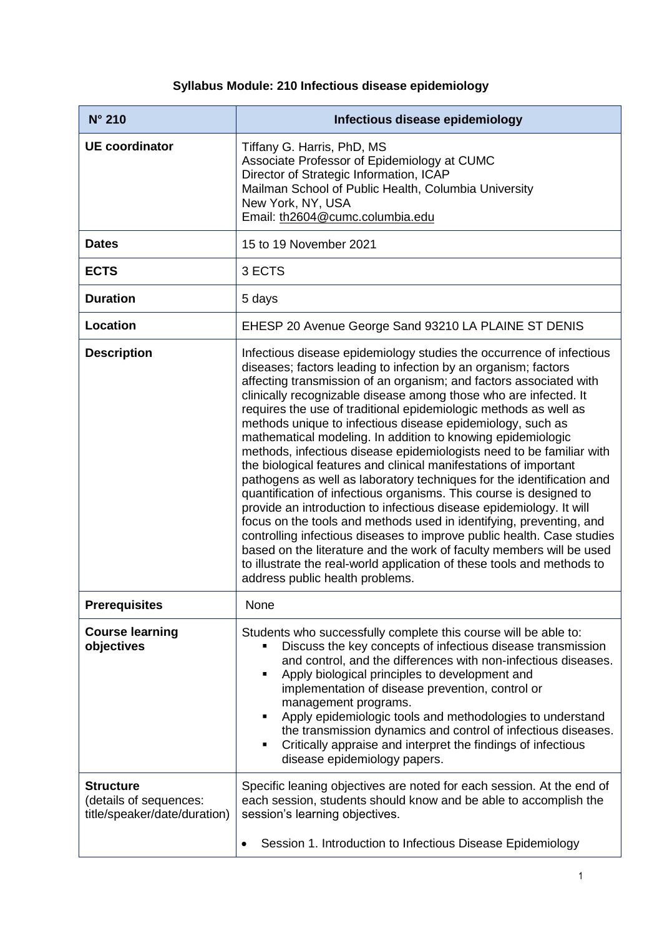## **Syllabus Module: 210 Infectious disease epidemiology**

| $N^{\circ}$ 210                                                            | Infectious disease epidemiology                                                                                                                                                                                                                                                                                                                                                                                                                                                                                                                                                                                                                                                                                                                                                                                                                                                                                                                                                                                                                                                                                                                                                           |
|----------------------------------------------------------------------------|-------------------------------------------------------------------------------------------------------------------------------------------------------------------------------------------------------------------------------------------------------------------------------------------------------------------------------------------------------------------------------------------------------------------------------------------------------------------------------------------------------------------------------------------------------------------------------------------------------------------------------------------------------------------------------------------------------------------------------------------------------------------------------------------------------------------------------------------------------------------------------------------------------------------------------------------------------------------------------------------------------------------------------------------------------------------------------------------------------------------------------------------------------------------------------------------|
| <b>UE coordinator</b>                                                      | Tiffany G. Harris, PhD, MS<br>Associate Professor of Epidemiology at CUMC<br>Director of Strategic Information, ICAP<br>Mailman School of Public Health, Columbia University<br>New York, NY, USA<br>Email: th2604@cumc.columbia.edu                                                                                                                                                                                                                                                                                                                                                                                                                                                                                                                                                                                                                                                                                                                                                                                                                                                                                                                                                      |
| <b>Dates</b>                                                               | 15 to 19 November 2021                                                                                                                                                                                                                                                                                                                                                                                                                                                                                                                                                                                                                                                                                                                                                                                                                                                                                                                                                                                                                                                                                                                                                                    |
| <b>ECTS</b>                                                                | 3 ECTS                                                                                                                                                                                                                                                                                                                                                                                                                                                                                                                                                                                                                                                                                                                                                                                                                                                                                                                                                                                                                                                                                                                                                                                    |
| <b>Duration</b>                                                            | 5 days                                                                                                                                                                                                                                                                                                                                                                                                                                                                                                                                                                                                                                                                                                                                                                                                                                                                                                                                                                                                                                                                                                                                                                                    |
| Location                                                                   | EHESP 20 Avenue George Sand 93210 LA PLAINE ST DENIS                                                                                                                                                                                                                                                                                                                                                                                                                                                                                                                                                                                                                                                                                                                                                                                                                                                                                                                                                                                                                                                                                                                                      |
| <b>Description</b>                                                         | Infectious disease epidemiology studies the occurrence of infectious<br>diseases; factors leading to infection by an organism; factors<br>affecting transmission of an organism; and factors associated with<br>clinically recognizable disease among those who are infected. It<br>requires the use of traditional epidemiologic methods as well as<br>methods unique to infectious disease epidemiology, such as<br>mathematical modeling. In addition to knowing epidemiologic<br>methods, infectious disease epidemiologists need to be familiar with<br>the biological features and clinical manifestations of important<br>pathogens as well as laboratory techniques for the identification and<br>quantification of infectious organisms. This course is designed to<br>provide an introduction to infectious disease epidemiology. It will<br>focus on the tools and methods used in identifying, preventing, and<br>controlling infectious diseases to improve public health. Case studies<br>based on the literature and the work of faculty members will be used<br>to illustrate the real-world application of these tools and methods to<br>address public health problems. |
| <b>Prerequisites</b>                                                       | None                                                                                                                                                                                                                                                                                                                                                                                                                                                                                                                                                                                                                                                                                                                                                                                                                                                                                                                                                                                                                                                                                                                                                                                      |
| <b>Course learning</b><br>objectives                                       | Students who successfully complete this course will be able to:<br>Discuss the key concepts of infectious disease transmission<br>and control, and the differences with non-infectious diseases.<br>Apply biological principles to development and<br>٠<br>implementation of disease prevention, control or<br>management programs.<br>Apply epidemiologic tools and methodologies to understand<br>٠<br>the transmission dynamics and control of infectious diseases.<br>Critically appraise and interpret the findings of infectious<br>٠<br>disease epidemiology papers.                                                                                                                                                                                                                                                                                                                                                                                                                                                                                                                                                                                                               |
| <b>Structure</b><br>(details of sequences:<br>title/speaker/date/duration) | Specific leaning objectives are noted for each session. At the end of<br>each session, students should know and be able to accomplish the<br>session's learning objectives.<br>Session 1. Introduction to Infectious Disease Epidemiology                                                                                                                                                                                                                                                                                                                                                                                                                                                                                                                                                                                                                                                                                                                                                                                                                                                                                                                                                 |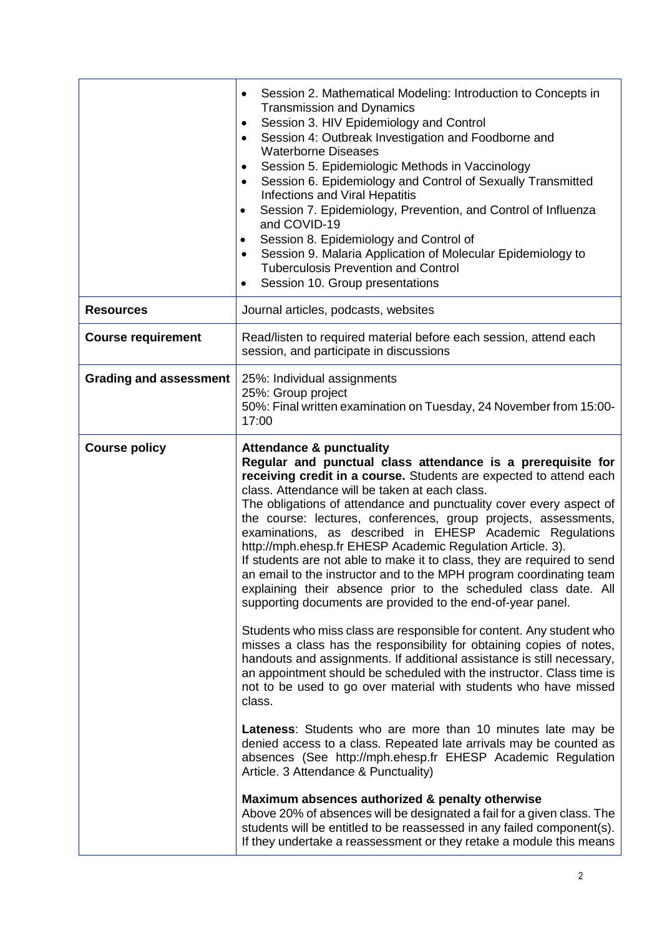|                               | Session 2. Mathematical Modeling: Introduction to Concepts in<br><b>Transmission and Dynamics</b><br>Session 3. HIV Epidemiology and Control<br>Session 4: Outbreak Investigation and Foodborne and<br><b>Waterborne Diseases</b><br>Session 5. Epidemiologic Methods in Vaccinology<br>Session 6. Epidemiology and Control of Sexually Transmitted<br><b>Infections and Viral Hepatitis</b><br>Session 7. Epidemiology, Prevention, and Control of Influenza<br>and COVID-19<br>Session 8. Epidemiology and Control of<br>Session 9. Malaria Application of Molecular Epidemiology to<br><b>Tuberculosis Prevention and Control</b><br>Session 10. Group presentations                                                                                                                                                                                                                                                                                                                                                                                                                                                                                                                                                                                                                                                                                                                                                                                                                                                                                                                                                                                                                       |
|-------------------------------|-----------------------------------------------------------------------------------------------------------------------------------------------------------------------------------------------------------------------------------------------------------------------------------------------------------------------------------------------------------------------------------------------------------------------------------------------------------------------------------------------------------------------------------------------------------------------------------------------------------------------------------------------------------------------------------------------------------------------------------------------------------------------------------------------------------------------------------------------------------------------------------------------------------------------------------------------------------------------------------------------------------------------------------------------------------------------------------------------------------------------------------------------------------------------------------------------------------------------------------------------------------------------------------------------------------------------------------------------------------------------------------------------------------------------------------------------------------------------------------------------------------------------------------------------------------------------------------------------------------------------------------------------------------------------------------------------|
| <b>Resources</b>              | Journal articles, podcasts, websites                                                                                                                                                                                                                                                                                                                                                                                                                                                                                                                                                                                                                                                                                                                                                                                                                                                                                                                                                                                                                                                                                                                                                                                                                                                                                                                                                                                                                                                                                                                                                                                                                                                          |
| <b>Course requirement</b>     | Read/listen to required material before each session, attend each<br>session, and participate in discussions                                                                                                                                                                                                                                                                                                                                                                                                                                                                                                                                                                                                                                                                                                                                                                                                                                                                                                                                                                                                                                                                                                                                                                                                                                                                                                                                                                                                                                                                                                                                                                                  |
| <b>Grading and assessment</b> | 25%: Individual assignments<br>25%: Group project<br>50%: Final written examination on Tuesday, 24 November from 15:00-<br>17:00                                                                                                                                                                                                                                                                                                                                                                                                                                                                                                                                                                                                                                                                                                                                                                                                                                                                                                                                                                                                                                                                                                                                                                                                                                                                                                                                                                                                                                                                                                                                                              |
| <b>Course policy</b>          | <b>Attendance &amp; punctuality</b><br>Regular and punctual class attendance is a prerequisite for<br>receiving credit in a course. Students are expected to attend each<br>class. Attendance will be taken at each class.<br>The obligations of attendance and punctuality cover every aspect of<br>the course: lectures, conferences, group projects, assessments,<br>examinations, as described in EHESP Academic Regulations<br>http://mph.ehesp.fr EHESP Academic Regulation Article. 3).<br>If students are not able to make it to class, they are required to send<br>an email to the instructor and to the MPH program coordinating team<br>explaining their absence prior to the scheduled class date. All<br>supporting documents are provided to the end-of-year panel.<br>Students who miss class are responsible for content. Any student who<br>misses a class has the responsibility for obtaining copies of notes,<br>handouts and assignments. If additional assistance is still necessary,<br>an appointment should be scheduled with the instructor. Class time is<br>not to be used to go over material with students who have missed<br>class.<br>Lateness: Students who are more than 10 minutes late may be<br>denied access to a class. Repeated late arrivals may be counted as<br>absences (See http://mph.ehesp.fr EHESP Academic Regulation<br>Article. 3 Attendance & Punctuality)<br>Maximum absences authorized & penalty otherwise<br>Above 20% of absences will be designated a fail for a given class. The<br>students will be entitled to be reassessed in any failed component(s).<br>If they undertake a reassessment or they retake a module this means |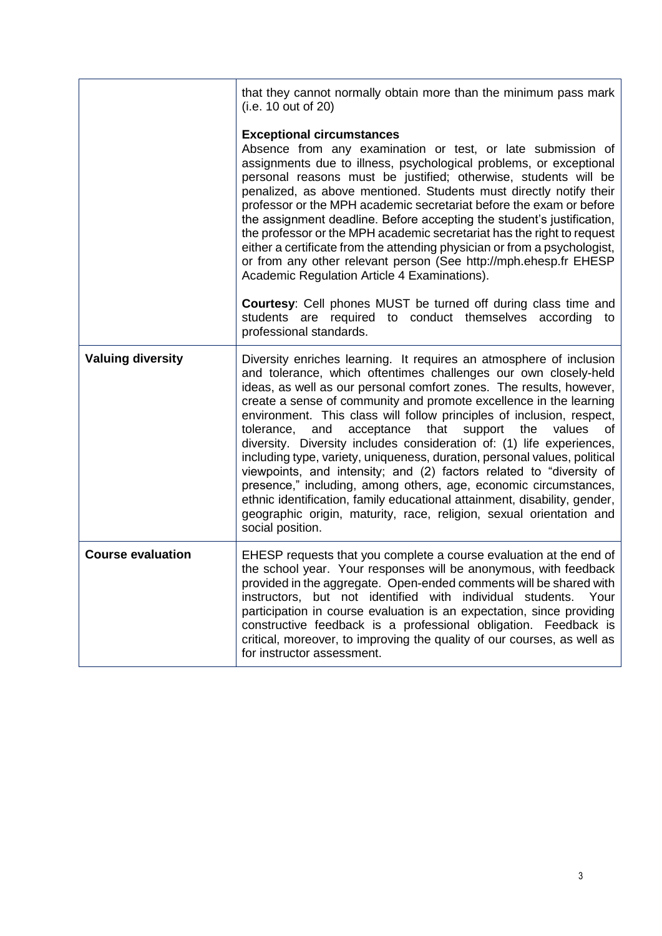|                          | that they cannot normally obtain more than the minimum pass mark<br>(i.e. 10 out of 20)                                                                                                                                                                                                                                                                                                                                                                                                                                                                                                                                                                                                                                                                                                                                                                                                                            |
|--------------------------|--------------------------------------------------------------------------------------------------------------------------------------------------------------------------------------------------------------------------------------------------------------------------------------------------------------------------------------------------------------------------------------------------------------------------------------------------------------------------------------------------------------------------------------------------------------------------------------------------------------------------------------------------------------------------------------------------------------------------------------------------------------------------------------------------------------------------------------------------------------------------------------------------------------------|
|                          | <b>Exceptional circumstances</b><br>Absence from any examination or test, or late submission of<br>assignments due to illness, psychological problems, or exceptional<br>personal reasons must be justified; otherwise, students will be<br>penalized, as above mentioned. Students must directly notify their<br>professor or the MPH academic secretariat before the exam or before<br>the assignment deadline. Before accepting the student's justification,<br>the professor or the MPH academic secretariat has the right to request<br>either a certificate from the attending physician or from a psychologist,<br>or from any other relevant person (See http://mph.ehesp.fr EHESP<br>Academic Regulation Article 4 Examinations).<br>Courtesy: Cell phones MUST be turned off during class time and<br>students are required to conduct themselves according to<br>professional standards.                |
| <b>Valuing diversity</b> | Diversity enriches learning. It requires an atmosphere of inclusion<br>and tolerance, which oftentimes challenges our own closely-held<br>ideas, as well as our personal comfort zones. The results, however,<br>create a sense of community and promote excellence in the learning<br>environment. This class will follow principles of inclusion, respect,<br>acceptance<br>values<br>tolerance,<br>and<br>that<br>support<br>the<br>οf<br>diversity. Diversity includes consideration of: (1) life experiences,<br>including type, variety, uniqueness, duration, personal values, political<br>viewpoints, and intensity; and (2) factors related to "diversity of<br>presence," including, among others, age, economic circumstances,<br>ethnic identification, family educational attainment, disability, gender,<br>geographic origin, maturity, race, religion, sexual orientation and<br>social position. |
| <b>Course evaluation</b> | EHESP requests that you complete a course evaluation at the end of<br>the school year. Your responses will be anonymous, with feedback<br>provided in the aggregate. Open-ended comments will be shared with<br>instructors, but not identified with individual students.<br>Your<br>participation in course evaluation is an expectation, since providing<br>constructive feedback is a professional obligation. Feedback is<br>critical, moreover, to improving the quality of our courses, as well as<br>for instructor assessment.                                                                                                                                                                                                                                                                                                                                                                             |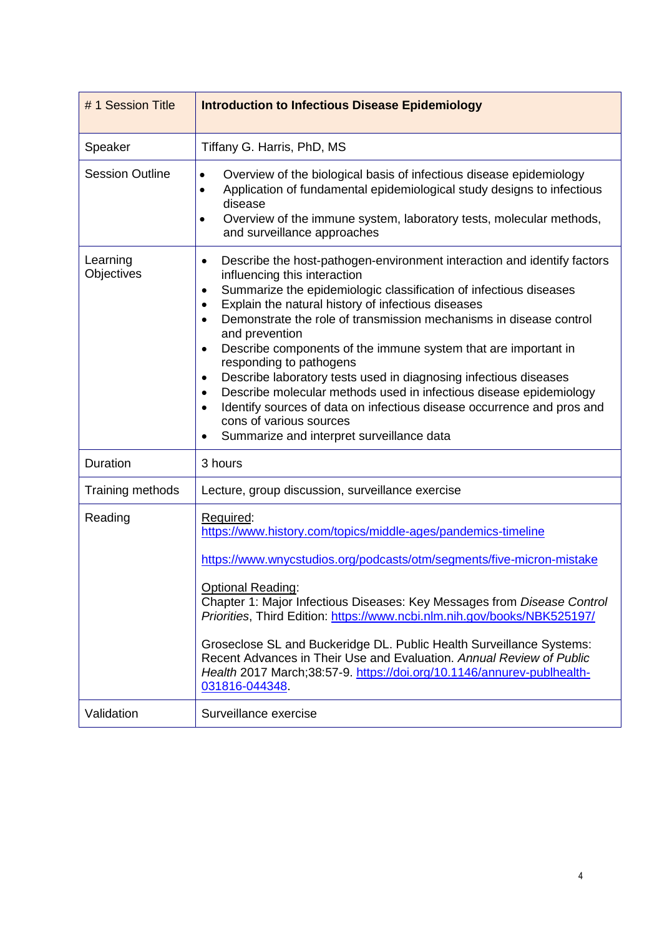| #1 Session Title       | <b>Introduction to Infectious Disease Epidemiology</b>                                                                                                                                                                                                                                                                                                                                                                                                                                                                                                                                                                                                                                                                                                                                                                   |
|------------------------|--------------------------------------------------------------------------------------------------------------------------------------------------------------------------------------------------------------------------------------------------------------------------------------------------------------------------------------------------------------------------------------------------------------------------------------------------------------------------------------------------------------------------------------------------------------------------------------------------------------------------------------------------------------------------------------------------------------------------------------------------------------------------------------------------------------------------|
| Speaker                | Tiffany G. Harris, PhD, MS                                                                                                                                                                                                                                                                                                                                                                                                                                                                                                                                                                                                                                                                                                                                                                                               |
| <b>Session Outline</b> | Overview of the biological basis of infectious disease epidemiology<br>$\bullet$<br>Application of fundamental epidemiological study designs to infectious<br>$\bullet$<br>disease<br>Overview of the immune system, laboratory tests, molecular methods,<br>$\bullet$<br>and surveillance approaches                                                                                                                                                                                                                                                                                                                                                                                                                                                                                                                    |
| Learning<br>Objectives | Describe the host-pathogen-environment interaction and identify factors<br>$\bullet$<br>influencing this interaction<br>Summarize the epidemiologic classification of infectious diseases<br>٠<br>Explain the natural history of infectious diseases<br>$\bullet$<br>Demonstrate the role of transmission mechanisms in disease control<br>$\bullet$<br>and prevention<br>Describe components of the immune system that are important in<br>$\bullet$<br>responding to pathogens<br>Describe laboratory tests used in diagnosing infectious diseases<br>$\bullet$<br>Describe molecular methods used in infectious disease epidemiology<br>$\bullet$<br>Identify sources of data on infectious disease occurrence and pros and<br>$\bullet$<br>cons of various sources<br>Summarize and interpret surveillance data<br>٠ |
| Duration               | 3 hours                                                                                                                                                                                                                                                                                                                                                                                                                                                                                                                                                                                                                                                                                                                                                                                                                  |
| Training methods       | Lecture, group discussion, surveillance exercise                                                                                                                                                                                                                                                                                                                                                                                                                                                                                                                                                                                                                                                                                                                                                                         |
| Reading                | Required:<br>https://www.history.com/topics/middle-ages/pandemics-timeline<br>https://www.wnycstudios.org/podcasts/otm/segments/five-micron-mistake<br><b>Optional Reading:</b><br>Chapter 1: Major Infectious Diseases: Key Messages from Disease Control<br>Priorities, Third Edition: https://www.ncbi.nlm.nih.gov/books/NBK525197/<br>Groseclose SL and Buckeridge DL. Public Health Surveillance Systems:<br>Recent Advances in Their Use and Evaluation. Annual Review of Public<br>Health 2017 March; 38:57-9. https://doi.org/10.1146/annurev-publhealth-<br>031816-044348.                                                                                                                                                                                                                                      |
| Validation             | Surveillance exercise                                                                                                                                                                                                                                                                                                                                                                                                                                                                                                                                                                                                                                                                                                                                                                                                    |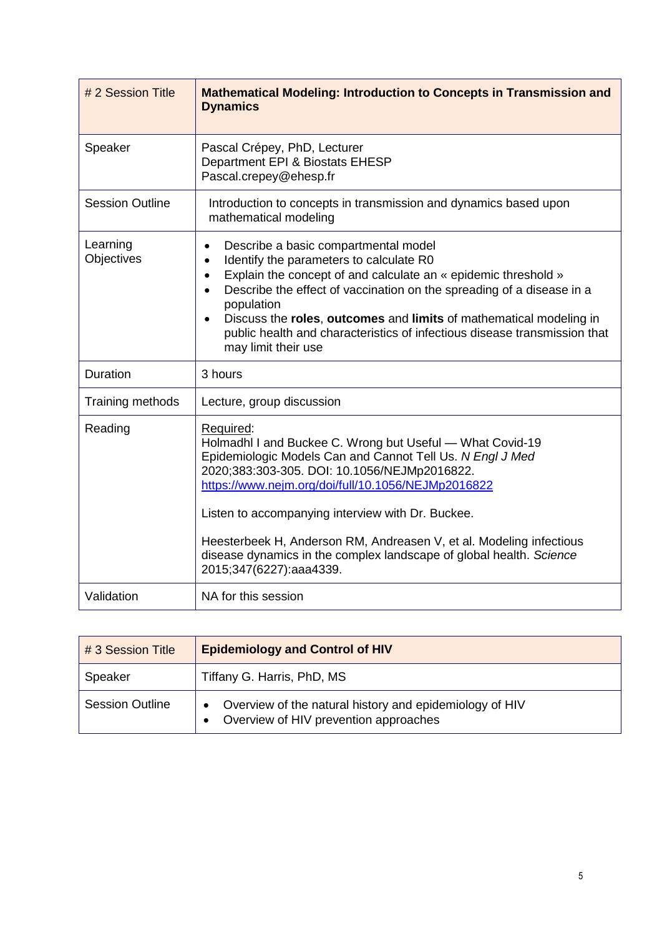| # 2 Session Title      | <b>Mathematical Modeling: Introduction to Concepts in Transmission and</b><br><b>Dynamics</b>                                                                                                                                                                                                                                                                                                                                                                                       |
|------------------------|-------------------------------------------------------------------------------------------------------------------------------------------------------------------------------------------------------------------------------------------------------------------------------------------------------------------------------------------------------------------------------------------------------------------------------------------------------------------------------------|
| Speaker                | Pascal Crépey, PhD, Lecturer<br>Department EPI & Biostats EHESP<br>Pascal.crepey@ehesp.fr                                                                                                                                                                                                                                                                                                                                                                                           |
| <b>Session Outline</b> | Introduction to concepts in transmission and dynamics based upon<br>mathematical modeling                                                                                                                                                                                                                                                                                                                                                                                           |
| Learning<br>Objectives | Describe a basic compartmental model<br>$\bullet$<br>Identify the parameters to calculate R0<br>$\bullet$<br>Explain the concept of and calculate an « epidemic threshold »<br>$\bullet$<br>Describe the effect of vaccination on the spreading of a disease in a<br>$\bullet$<br>population<br>Discuss the roles, outcomes and limits of mathematical modeling in<br>$\bullet$<br>public health and characteristics of infectious disease transmission that<br>may limit their use |
| Duration               | 3 hours                                                                                                                                                                                                                                                                                                                                                                                                                                                                             |
| Training methods       | Lecture, group discussion                                                                                                                                                                                                                                                                                                                                                                                                                                                           |
| Reading                | Required:<br>Holmadhl I and Buckee C. Wrong but Useful - What Covid-19<br>Epidemiologic Models Can and Cannot Tell Us. N Engl J Med<br>2020;383:303-305. DOI: 10.1056/NEJMp2016822.<br>https://www.nejm.org/doi/full/10.1056/NEJMp2016822<br>Listen to accompanying interview with Dr. Buckee.<br>Heesterbeek H, Anderson RM, Andreasen V, et al. Modeling infectious<br>disease dynamics in the complex landscape of global health. Science<br>2015;347(6227):aaa4339.             |
| Validation             | NA for this session                                                                                                                                                                                                                                                                                                                                                                                                                                                                 |

| $#3$ Session Title     | <b>Epidemiology and Control of HIV</b>                                                           |
|------------------------|--------------------------------------------------------------------------------------------------|
| Speaker                | Tiffany G. Harris, PhD, MS                                                                       |
| <b>Session Outline</b> | Overview of the natural history and epidemiology of HIV<br>Overview of HIV prevention approaches |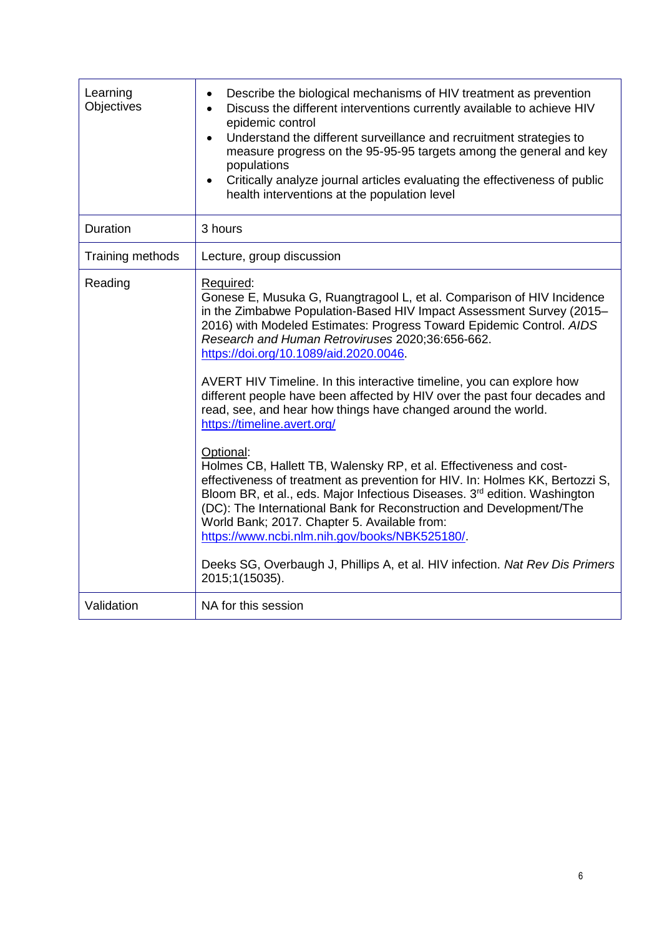| Learning<br>Objectives | Describe the biological mechanisms of HIV treatment as prevention<br>$\bullet$<br>Discuss the different interventions currently available to achieve HIV<br>epidemic control<br>Understand the different surveillance and recruitment strategies to<br>measure progress on the 95-95-95 targets among the general and key<br>populations<br>Critically analyze journal articles evaluating the effectiveness of public<br>health interventions at the population level                                                                                                                                                                                                                                                                                                                                                                                                                                                                                                                                                                                                                                                        |
|------------------------|-------------------------------------------------------------------------------------------------------------------------------------------------------------------------------------------------------------------------------------------------------------------------------------------------------------------------------------------------------------------------------------------------------------------------------------------------------------------------------------------------------------------------------------------------------------------------------------------------------------------------------------------------------------------------------------------------------------------------------------------------------------------------------------------------------------------------------------------------------------------------------------------------------------------------------------------------------------------------------------------------------------------------------------------------------------------------------------------------------------------------------|
| <b>Duration</b>        | 3 hours                                                                                                                                                                                                                                                                                                                                                                                                                                                                                                                                                                                                                                                                                                                                                                                                                                                                                                                                                                                                                                                                                                                       |
| Training methods       | Lecture, group discussion                                                                                                                                                                                                                                                                                                                                                                                                                                                                                                                                                                                                                                                                                                                                                                                                                                                                                                                                                                                                                                                                                                     |
| Reading                | Required:<br>Gonese E, Musuka G, Ruangtragool L, et al. Comparison of HIV Incidence<br>in the Zimbabwe Population-Based HIV Impact Assessment Survey (2015-<br>2016) with Modeled Estimates: Progress Toward Epidemic Control. AIDS<br>Research and Human Retroviruses 2020;36:656-662.<br>https://doi.org/10.1089/aid.2020.0046.<br>AVERT HIV Timeline. In this interactive timeline, you can explore how<br>different people have been affected by HIV over the past four decades and<br>read, see, and hear how things have changed around the world.<br>https://timeline.avert.org/<br>Optional:<br>Holmes CB, Hallett TB, Walensky RP, et al. Effectiveness and cost-<br>effectiveness of treatment as prevention for HIV. In: Holmes KK, Bertozzi S,<br>Bloom BR, et al., eds. Major Infectious Diseases. 3 <sup>rd</sup> edition. Washington<br>(DC): The International Bank for Reconstruction and Development/The<br>World Bank; 2017. Chapter 5. Available from:<br>https://www.ncbi.nlm.nih.gov/books/NBK525180/<br>Deeks SG, Overbaugh J, Phillips A, et al. HIV infection. Nat Rev Dis Primers<br>2015;1(15035). |
| Validation             | NA for this session                                                                                                                                                                                                                                                                                                                                                                                                                                                                                                                                                                                                                                                                                                                                                                                                                                                                                                                                                                                                                                                                                                           |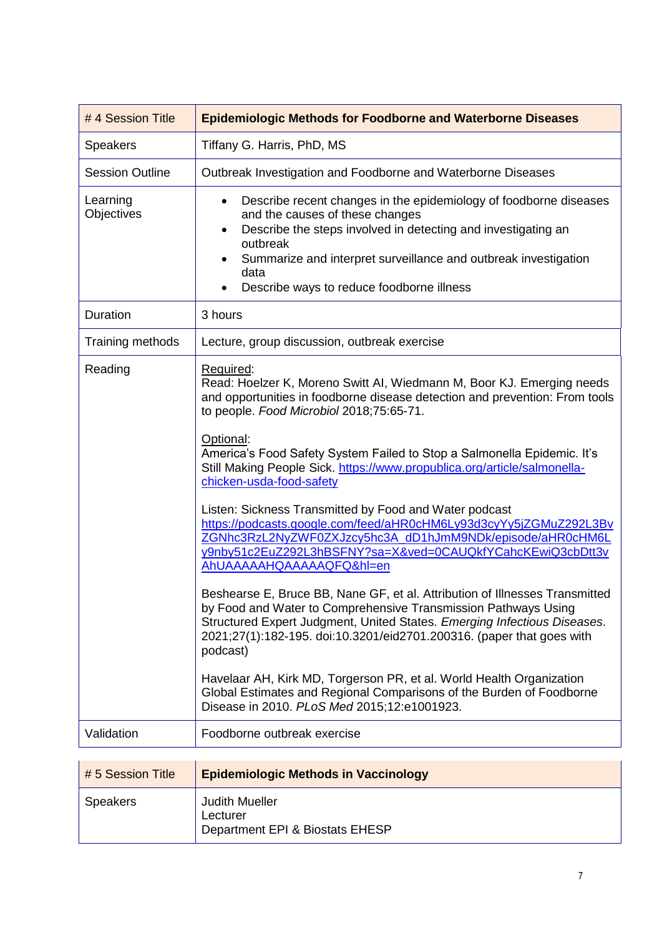| #4 Session Title       | <b>Epidemiologic Methods for Foodborne and Waterborne Diseases</b>                                                                                                                                                                                                                                                                                                                                                                                                                                                                                                                                                                                                                                                                                                                                                                                                                                                                                                                                                                                                                                                                                                                                                   |
|------------------------|----------------------------------------------------------------------------------------------------------------------------------------------------------------------------------------------------------------------------------------------------------------------------------------------------------------------------------------------------------------------------------------------------------------------------------------------------------------------------------------------------------------------------------------------------------------------------------------------------------------------------------------------------------------------------------------------------------------------------------------------------------------------------------------------------------------------------------------------------------------------------------------------------------------------------------------------------------------------------------------------------------------------------------------------------------------------------------------------------------------------------------------------------------------------------------------------------------------------|
| <b>Speakers</b>        | Tiffany G. Harris, PhD, MS                                                                                                                                                                                                                                                                                                                                                                                                                                                                                                                                                                                                                                                                                                                                                                                                                                                                                                                                                                                                                                                                                                                                                                                           |
| <b>Session Outline</b> | Outbreak Investigation and Foodborne and Waterborne Diseases                                                                                                                                                                                                                                                                                                                                                                                                                                                                                                                                                                                                                                                                                                                                                                                                                                                                                                                                                                                                                                                                                                                                                         |
| Learning<br>Objectives | Describe recent changes in the epidemiology of foodborne diseases<br>$\bullet$<br>and the causes of these changes<br>Describe the steps involved in detecting and investigating an<br>$\bullet$<br>outbreak<br>Summarize and interpret surveillance and outbreak investigation<br>data<br>Describe ways to reduce foodborne illness                                                                                                                                                                                                                                                                                                                                                                                                                                                                                                                                                                                                                                                                                                                                                                                                                                                                                  |
| Duration               | 3 hours                                                                                                                                                                                                                                                                                                                                                                                                                                                                                                                                                                                                                                                                                                                                                                                                                                                                                                                                                                                                                                                                                                                                                                                                              |
| Training methods       | Lecture, group discussion, outbreak exercise                                                                                                                                                                                                                                                                                                                                                                                                                                                                                                                                                                                                                                                                                                                                                                                                                                                                                                                                                                                                                                                                                                                                                                         |
| Reading                | Required:<br>Read: Hoelzer K, Moreno Switt AI, Wiedmann M, Boor KJ. Emerging needs<br>and opportunities in foodborne disease detection and prevention: From tools<br>to people. Food Microbiol 2018;75:65-71.<br>Optional:<br>America's Food Safety System Failed to Stop a Salmonella Epidemic. It's<br>Still Making People Sick. https://www.propublica.org/article/salmonella-<br>chicken-usda-food-safety<br>Listen: Sickness Transmitted by Food and Water podcast<br>https://podcasts.google.com/feed/aHR0cHM6Ly93d3cyYy5jZGMuZ292L3Bv<br>ZGNhc3RzL2NyZWF0ZXJzcy5hc3A_dD1hJmM9NDk/episode/aHR0cHM6L<br>y9nby51c2EuZ292L3hBSFNY?sa=X&ved=0CAUQkfYCahcKEwiQ3cbDtt3v<br>AhUAAAAAHQAAAAAQFQ&hl=en<br>Beshearse E, Bruce BB, Nane GF, et al. Attribution of Illnesses Transmitted<br>by Food and Water to Comprehensive Transmission Pathways Using<br>Structured Expert Judgment, United States. Emerging Infectious Diseases.<br>2021;27(1):182-195. doi:10.3201/eid2701.200316. (paper that goes with<br>podcast)<br>Havelaar AH, Kirk MD, Torgerson PR, et al. World Health Organization<br>Global Estimates and Regional Comparisons of the Burden of Foodborne<br>Disease in 2010. PLoS Med 2015;12:e1001923. |
| Validation             | Foodborne outbreak exercise                                                                                                                                                                                                                                                                                                                                                                                                                                                                                                                                                                                                                                                                                                                                                                                                                                                                                                                                                                                                                                                                                                                                                                                          |
|                        |                                                                                                                                                                                                                                                                                                                                                                                                                                                                                                                                                                                                                                                                                                                                                                                                                                                                                                                                                                                                                                                                                                                                                                                                                      |

| $# 5$ Session Title | <b>Epidemiologic Methods in Vaccinology</b>                          |
|---------------------|----------------------------------------------------------------------|
| Speakers            | <b>Judith Mueller</b><br>Lecturer<br>Department EPI & Biostats EHESP |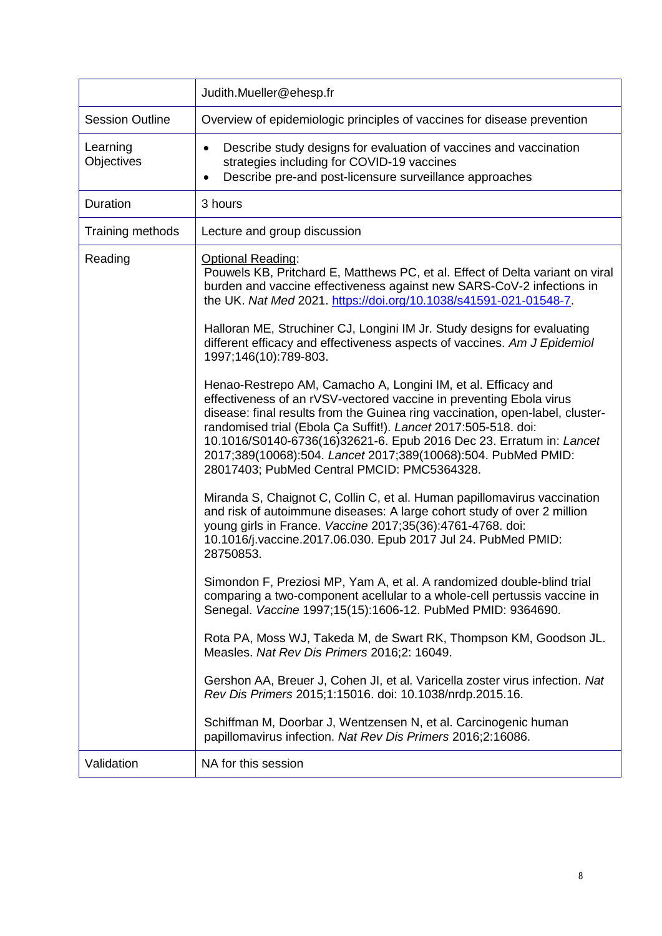|                        | Judith.Mueller@ehesp.fr                                                                                                                                                                                                                                                                                                                                                                                                                                                        |
|------------------------|--------------------------------------------------------------------------------------------------------------------------------------------------------------------------------------------------------------------------------------------------------------------------------------------------------------------------------------------------------------------------------------------------------------------------------------------------------------------------------|
| <b>Session Outline</b> | Overview of epidemiologic principles of vaccines for disease prevention                                                                                                                                                                                                                                                                                                                                                                                                        |
| Learning<br>Objectives | Describe study designs for evaluation of vaccines and vaccination<br>strategies including for COVID-19 vaccines<br>Describe pre-and post-licensure surveillance approaches                                                                                                                                                                                                                                                                                                     |
| Duration               | 3 hours                                                                                                                                                                                                                                                                                                                                                                                                                                                                        |
| Training methods       | Lecture and group discussion                                                                                                                                                                                                                                                                                                                                                                                                                                                   |
| Reading                | Optional Reading:<br>Pouwels KB, Pritchard E, Matthews PC, et al. Effect of Delta variant on viral<br>burden and vaccine effectiveness against new SARS-CoV-2 infections in<br>the UK. Nat Med 2021. https://doi.org/10.1038/s41591-021-01548-7.<br>Halloran ME, Struchiner CJ, Longini IM Jr. Study designs for evaluating                                                                                                                                                    |
|                        | different efficacy and effectiveness aspects of vaccines. Am J Epidemiol<br>1997;146(10):789-803.                                                                                                                                                                                                                                                                                                                                                                              |
|                        | Henao-Restrepo AM, Camacho A, Longini IM, et al. Efficacy and<br>effectiveness of an rVSV-vectored vaccine in preventing Ebola virus<br>disease: final results from the Guinea ring vaccination, open-label, cluster-<br>randomised trial (Ebola Ça Suffit!). Lancet 2017:505-518. doi:<br>10.1016/S0140-6736(16)32621-6. Epub 2016 Dec 23. Erratum in: Lancet<br>2017;389(10068):504. Lancet 2017;389(10068):504. PubMed PMID:<br>28017403; PubMed Central PMCID: PMC5364328. |
|                        | Miranda S, Chaignot C, Collin C, et al. Human papillomavirus vaccination<br>and risk of autoimmune diseases: A large cohort study of over 2 million<br>young girls in France. Vaccine 2017;35(36):4761-4768. doi:<br>10.1016/j.vaccine.2017.06.030. Epub 2017 Jul 24. PubMed PMID:<br>28750853.                                                                                                                                                                                |
|                        | Simondon F, Preziosi MP, Yam A, et al. A randomized double-blind trial<br>comparing a two-component acellular to a whole-cell pertussis vaccine in<br>Senegal. Vaccine 1997;15(15):1606-12. PubMed PMID: 9364690.                                                                                                                                                                                                                                                              |
|                        | Rota PA, Moss WJ, Takeda M, de Swart RK, Thompson KM, Goodson JL.<br>Measles. Nat Rev Dis Primers 2016;2: 16049.                                                                                                                                                                                                                                                                                                                                                               |
|                        | Gershon AA, Breuer J, Cohen JI, et al. Varicella zoster virus infection. Nat<br>Rev Dis Primers 2015;1:15016. doi: 10.1038/nrdp.2015.16.                                                                                                                                                                                                                                                                                                                                       |
|                        | Schiffman M, Doorbar J, Wentzensen N, et al. Carcinogenic human<br>papillomavirus infection. Nat Rev Dis Primers 2016;2:16086.                                                                                                                                                                                                                                                                                                                                                 |
| Validation             | NA for this session                                                                                                                                                                                                                                                                                                                                                                                                                                                            |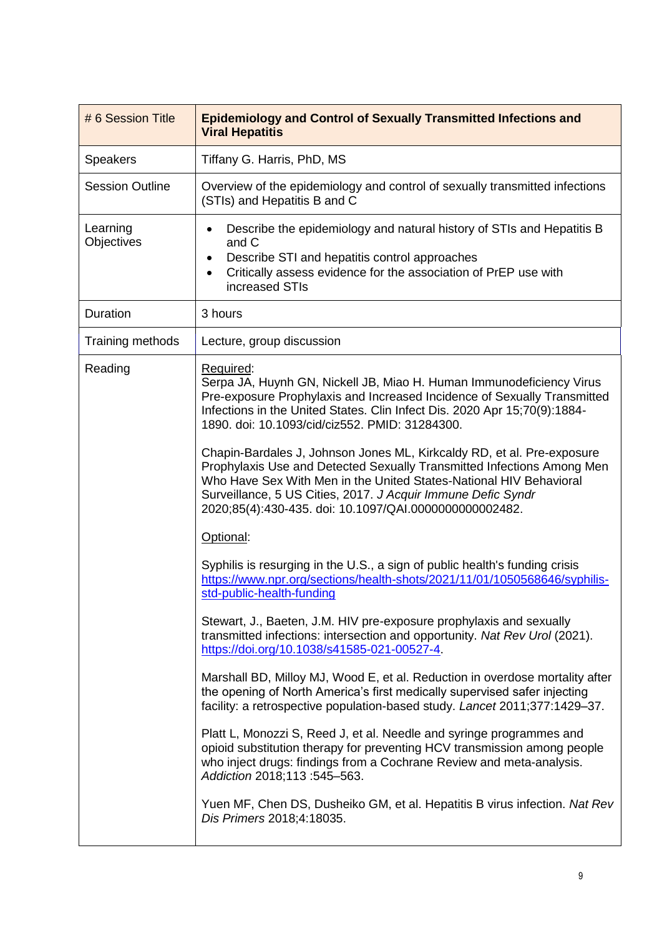| # 6 Session Title      | <b>Epidemiology and Control of Sexually Transmitted Infections and</b><br><b>Viral Hepatitis</b>                                                                                                                                                                                                                                                 |
|------------------------|--------------------------------------------------------------------------------------------------------------------------------------------------------------------------------------------------------------------------------------------------------------------------------------------------------------------------------------------------|
| <b>Speakers</b>        | Tiffany G. Harris, PhD, MS                                                                                                                                                                                                                                                                                                                       |
| <b>Session Outline</b> | Overview of the epidemiology and control of sexually transmitted infections<br>(STIs) and Hepatitis B and C                                                                                                                                                                                                                                      |
| Learning<br>Objectives | Describe the epidemiology and natural history of STIs and Hepatitis B<br>$\bullet$<br>and C<br>Describe STI and hepatitis control approaches<br>Critically assess evidence for the association of PrEP use with<br>increased STIs                                                                                                                |
| Duration               | 3 hours                                                                                                                                                                                                                                                                                                                                          |
| Training methods       | Lecture, group discussion                                                                                                                                                                                                                                                                                                                        |
| Reading                | Required:<br>Serpa JA, Huynh GN, Nickell JB, Miao H. Human Immunodeficiency Virus<br>Pre-exposure Prophylaxis and Increased Incidence of Sexually Transmitted<br>Infections in the United States. Clin Infect Dis. 2020 Apr 15;70(9):1884-<br>1890. doi: 10.1093/cid/ciz552. PMID: 31284300.                                                     |
|                        | Chapin-Bardales J, Johnson Jones ML, Kirkcaldy RD, et al. Pre-exposure<br>Prophylaxis Use and Detected Sexually Transmitted Infections Among Men<br>Who Have Sex With Men in the United States-National HIV Behavioral<br>Surveillance, 5 US Cities, 2017. J Acquir Immune Defic Syndr<br>2020;85(4):430-435. doi: 10.1097/QAI.0000000000002482. |
|                        | Optional:                                                                                                                                                                                                                                                                                                                                        |
|                        | Syphilis is resurging in the U.S., a sign of public health's funding crisis<br>https://www.npr.org/sections/health-shots/2021/11/01/1050568646/syphilis-<br>std-public-health-funding                                                                                                                                                            |
|                        | Stewart, J., Baeten, J.M. HIV pre-exposure prophylaxis and sexually<br>transmitted infections: intersection and opportunity. Nat Rev Urol (2021).<br>https://doi.org/10.1038/s41585-021-00527-4.                                                                                                                                                 |
|                        | Marshall BD, Milloy MJ, Wood E, et al. Reduction in overdose mortality after<br>the opening of North America's first medically supervised safer injecting<br>facility: a retrospective population-based study. Lancet 2011;377:1429-37.                                                                                                          |
|                        | Platt L, Monozzi S, Reed J, et al. Needle and syringe programmes and<br>opioid substitution therapy for preventing HCV transmission among people<br>who inject drugs: findings from a Cochrane Review and meta-analysis.<br>Addiction 2018;113 :545-563.                                                                                         |
|                        | Yuen MF, Chen DS, Dusheiko GM, et al. Hepatitis B virus infection. Nat Rev<br>Dis Primers 2018;4:18035.                                                                                                                                                                                                                                          |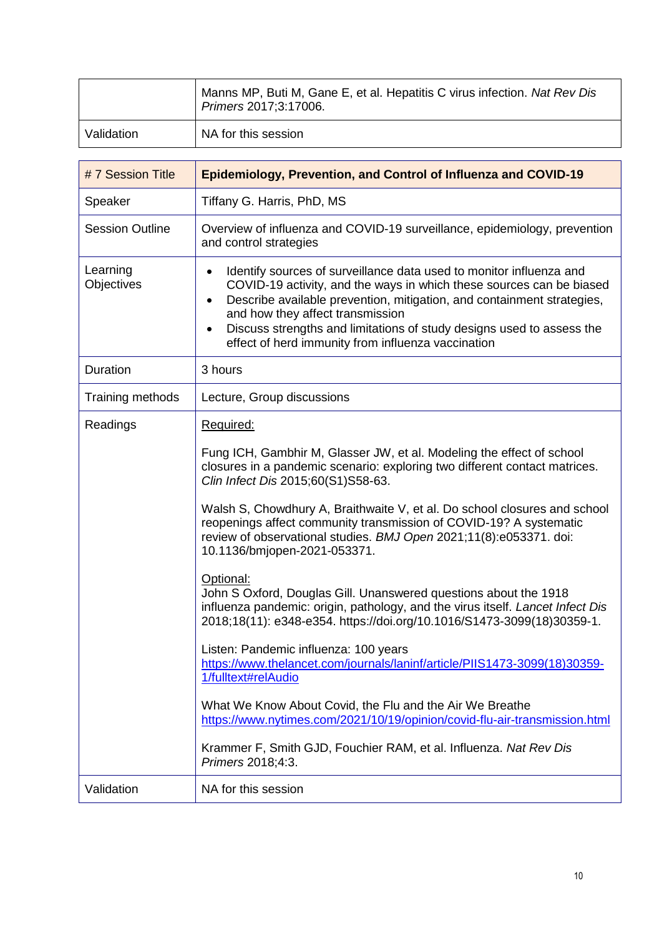|            | Manns MP, Buti M, Gane E, et al. Hepatitis C virus infection. Nat Rev Dis<br>Primers 2017;3:17006. |
|------------|----------------------------------------------------------------------------------------------------|
| Validation | NA for this session                                                                                |

| #7 Session Title       | <b>Epidemiology, Prevention, and Control of Influenza and COVID-19</b>                                                                                                                                                                                                                                                                                                                                                          |
|------------------------|---------------------------------------------------------------------------------------------------------------------------------------------------------------------------------------------------------------------------------------------------------------------------------------------------------------------------------------------------------------------------------------------------------------------------------|
| Speaker                | Tiffany G. Harris, PhD, MS                                                                                                                                                                                                                                                                                                                                                                                                      |
| <b>Session Outline</b> | Overview of influenza and COVID-19 surveillance, epidemiology, prevention<br>and control strategies                                                                                                                                                                                                                                                                                                                             |
| Learning<br>Objectives | Identify sources of surveillance data used to monitor influenza and<br>$\bullet$<br>COVID-19 activity, and the ways in which these sources can be biased<br>Describe available prevention, mitigation, and containment strategies,<br>$\bullet$<br>and how they affect transmission<br>Discuss strengths and limitations of study designs used to assess the<br>$\bullet$<br>effect of herd immunity from influenza vaccination |
| Duration               | 3 hours                                                                                                                                                                                                                                                                                                                                                                                                                         |
| Training methods       | Lecture, Group discussions                                                                                                                                                                                                                                                                                                                                                                                                      |
| Readings               | Required:                                                                                                                                                                                                                                                                                                                                                                                                                       |
|                        | Fung ICH, Gambhir M, Glasser JW, et al. Modeling the effect of school<br>closures in a pandemic scenario: exploring two different contact matrices.<br>Clin Infect Dis 2015;60(S1)S58-63.                                                                                                                                                                                                                                       |
|                        | Walsh S, Chowdhury A, Braithwaite V, et al. Do school closures and school<br>reopenings affect community transmission of COVID-19? A systematic<br>review of observational studies. BMJ Open 2021;11(8):e053371. doi:<br>10.1136/bmjopen-2021-053371.                                                                                                                                                                           |
|                        | Optional:<br>John S Oxford, Douglas Gill. Unanswered questions about the 1918<br>influenza pandemic: origin, pathology, and the virus itself. Lancet Infect Dis<br>2018;18(11): e348-e354. https://doi.org/10.1016/S1473-3099(18)30359-1.                                                                                                                                                                                       |
|                        | Listen: Pandemic influenza: 100 years<br>https://www.thelancet.com/journals/laninf/article/PIIS1473-3099(18)30359-<br>1/fulltext#relAudio                                                                                                                                                                                                                                                                                       |
|                        | What We Know About Covid, the Flu and the Air We Breathe<br>https://www.nytimes.com/2021/10/19/opinion/covid-flu-air-transmission.html                                                                                                                                                                                                                                                                                          |
|                        | Krammer F, Smith GJD, Fouchier RAM, et al. Influenza. Nat Rev Dis<br>Primers 2018;4:3.                                                                                                                                                                                                                                                                                                                                          |
| Validation             | NA for this session                                                                                                                                                                                                                                                                                                                                                                                                             |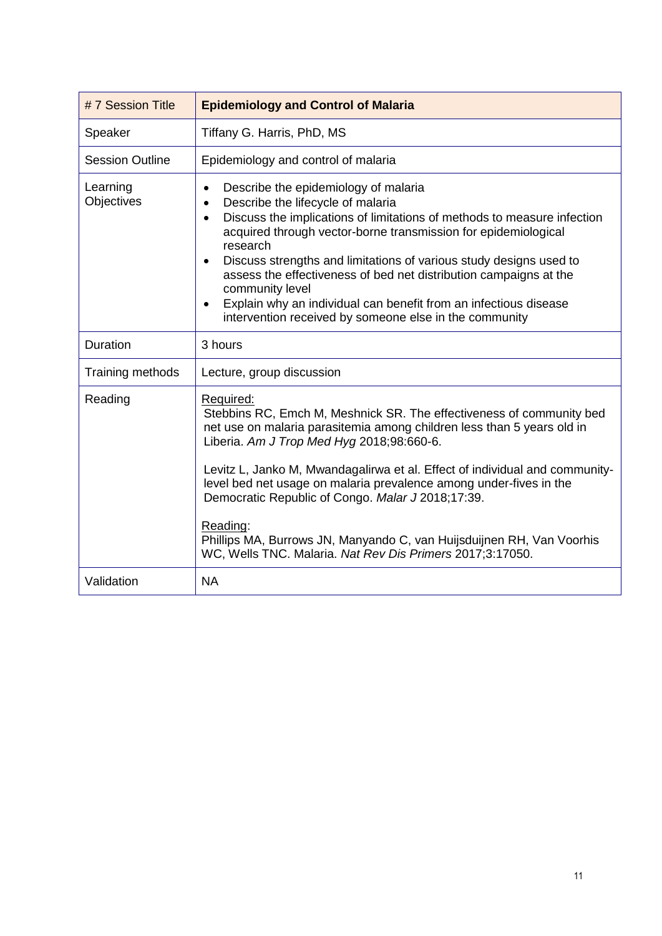| #7 Session Title       | <b>Epidemiology and Control of Malaria</b>                                                                                                                                                                                                                                                                                                                                                                                                                                                                                                                                                      |
|------------------------|-------------------------------------------------------------------------------------------------------------------------------------------------------------------------------------------------------------------------------------------------------------------------------------------------------------------------------------------------------------------------------------------------------------------------------------------------------------------------------------------------------------------------------------------------------------------------------------------------|
| Speaker                | Tiffany G. Harris, PhD, MS                                                                                                                                                                                                                                                                                                                                                                                                                                                                                                                                                                      |
| <b>Session Outline</b> | Epidemiology and control of malaria                                                                                                                                                                                                                                                                                                                                                                                                                                                                                                                                                             |
| Learning<br>Objectives | Describe the epidemiology of malaria<br>$\bullet$<br>Describe the lifecycle of malaria<br>$\bullet$<br>Discuss the implications of limitations of methods to measure infection<br>$\bullet$<br>acquired through vector-borne transmission for epidemiological<br>research<br>Discuss strengths and limitations of various study designs used to<br>$\bullet$<br>assess the effectiveness of bed net distribution campaigns at the<br>community level<br>Explain why an individual can benefit from an infectious disease<br>$\bullet$<br>intervention received by someone else in the community |
| Duration               | 3 hours                                                                                                                                                                                                                                                                                                                                                                                                                                                                                                                                                                                         |
| Training methods       | Lecture, group discussion                                                                                                                                                                                                                                                                                                                                                                                                                                                                                                                                                                       |
| Reading                | Required:<br>Stebbins RC, Emch M, Meshnick SR. The effectiveness of community bed<br>net use on malaria parasitemia among children less than 5 years old in<br>Liberia. Am J Trop Med Hyg 2018;98:660-6.<br>Levitz L, Janko M, Mwandagalirwa et al. Effect of individual and community-<br>level bed net usage on malaria prevalence among under-fives in the                                                                                                                                                                                                                                   |
|                        | Democratic Republic of Congo. Malar J 2018;17:39.<br>Reading:<br>Phillips MA, Burrows JN, Manyando C, van Huijsduijnen RH, Van Voorhis<br>WC, Wells TNC. Malaria. Nat Rev Dis Primers 2017;3:17050.                                                                                                                                                                                                                                                                                                                                                                                             |
| Validation             | <b>NA</b>                                                                                                                                                                                                                                                                                                                                                                                                                                                                                                                                                                                       |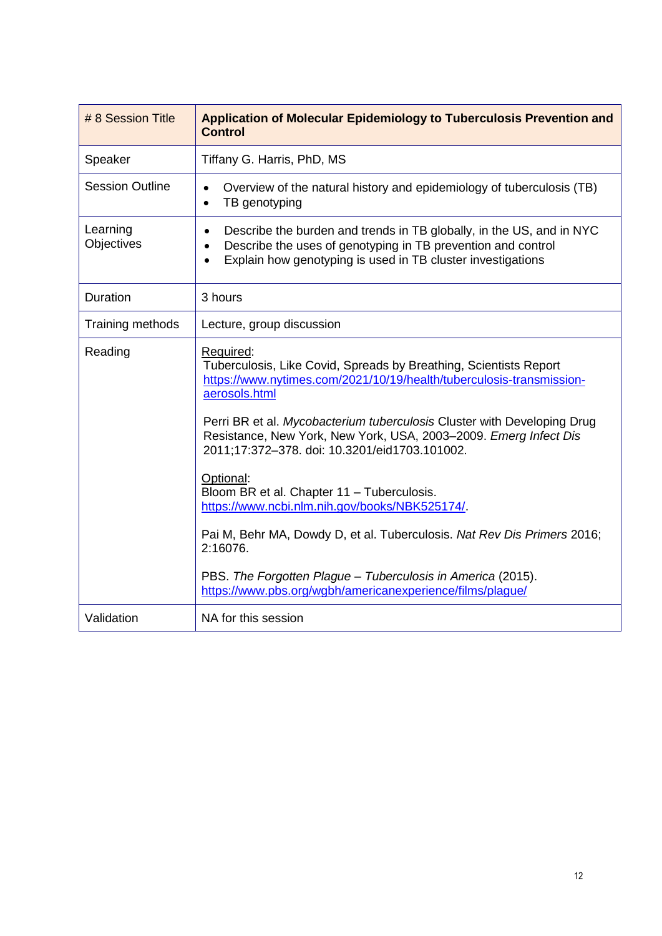| # 8 Session Title      | Application of Molecular Epidemiology to Tuberculosis Prevention and<br><b>Control</b>                                                                                                                                                                                                                                                                                  |
|------------------------|-------------------------------------------------------------------------------------------------------------------------------------------------------------------------------------------------------------------------------------------------------------------------------------------------------------------------------------------------------------------------|
| Speaker                | Tiffany G. Harris, PhD, MS                                                                                                                                                                                                                                                                                                                                              |
| <b>Session Outline</b> | Overview of the natural history and epidemiology of tuberculosis (TB)<br>$\bullet$<br>TB genotyping<br>$\bullet$                                                                                                                                                                                                                                                        |
| Learning<br>Objectives | Describe the burden and trends in TB globally, in the US, and in NYC<br>$\bullet$<br>Describe the uses of genotyping in TB prevention and control<br>$\bullet$<br>Explain how genotyping is used in TB cluster investigations                                                                                                                                           |
| Duration               | 3 hours                                                                                                                                                                                                                                                                                                                                                                 |
| Training methods       | Lecture, group discussion                                                                                                                                                                                                                                                                                                                                               |
| Reading                | Required:<br>Tuberculosis, Like Covid, Spreads by Breathing, Scientists Report<br>https://www.nytimes.com/2021/10/19/health/tuberculosis-transmission-<br>aerosols.html<br>Perri BR et al. Mycobacterium tuberculosis Cluster with Developing Drug<br>Resistance, New York, New York, USA, 2003-2009. Emerg Infect Dis<br>2011;17:372-378. doi: 10.3201/eid1703.101002. |
|                        | Optional:<br>Bloom BR et al. Chapter 11 - Tuberculosis.<br>https://www.ncbi.nlm.nih.gov/books/NBK525174/.<br>Pai M, Behr MA, Dowdy D, et al. Tuberculosis. Nat Rev Dis Primers 2016;<br>2:16076.<br>PBS. The Forgotten Plague - Tuberculosis in America (2015).<br>https://www.pbs.org/wgbh/americanexperience/films/plaque/                                            |
| Validation             | NA for this session                                                                                                                                                                                                                                                                                                                                                     |